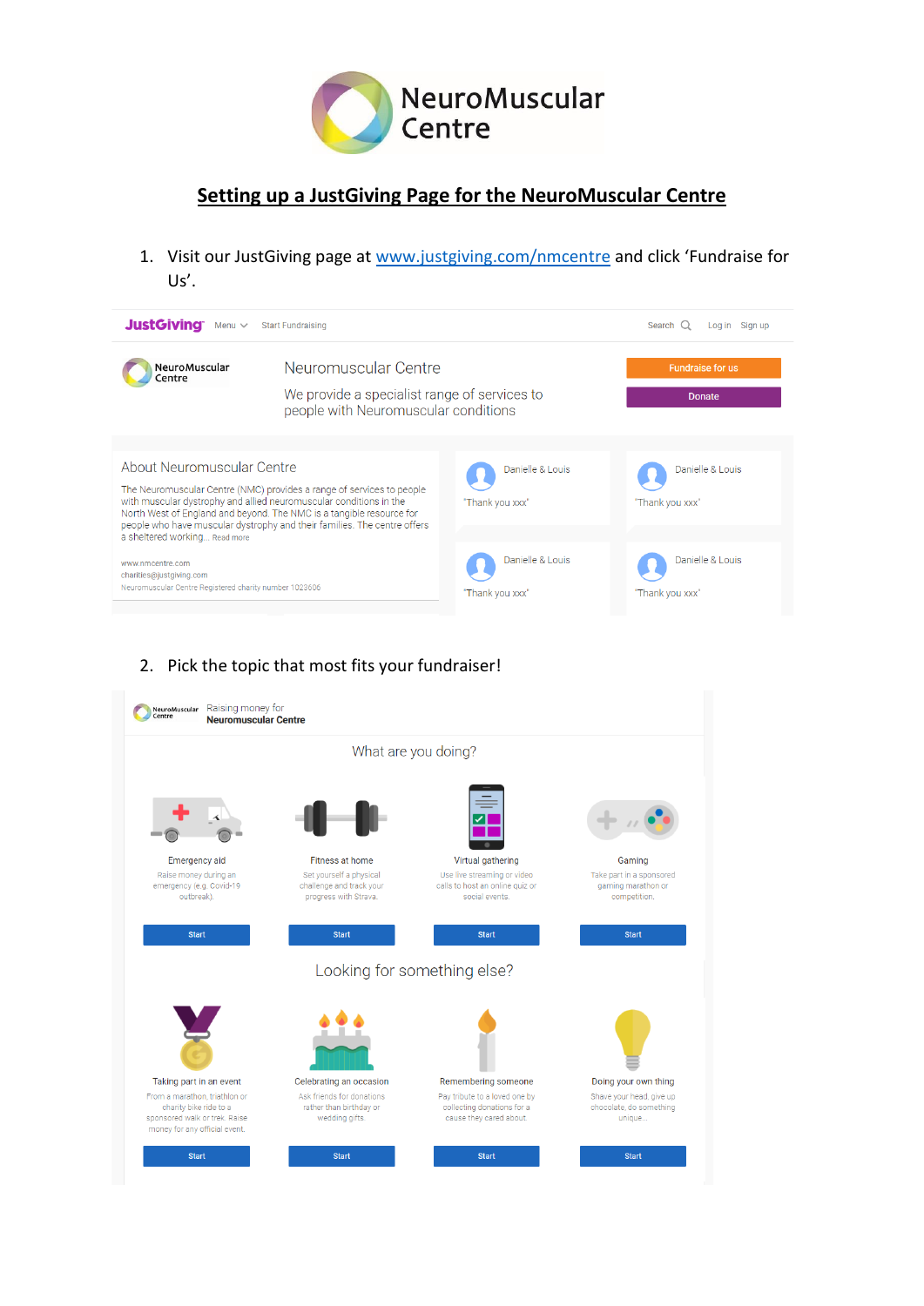

## **Setting up a JustGiving Page for the NeuroMuscular Centre**

1. Visit our JustGiving page at [www.justgiving.com/nmcentre](http://www.justgiving.com/nmcentre) and click 'Fundraise for Us'.

| <b>JustGiving</b><br>Menu $\vee$<br><b>Start Fundraising</b><br>Search $Q$<br>Log in Sign up                                                                                                                                                                                                                                  |                                                                                                              |                                     |                                     |  |
|-------------------------------------------------------------------------------------------------------------------------------------------------------------------------------------------------------------------------------------------------------------------------------------------------------------------------------|--------------------------------------------------------------------------------------------------------------|-------------------------------------|-------------------------------------|--|
| NeuroMuscular<br>Centre                                                                                                                                                                                                                                                                                                       | Neuromuscular Centre<br>We provide a specialist range of services to<br>people with Neuromuscular conditions |                                     | <b>Fundraise for us</b><br>Donate   |  |
| About Neuromuscular Centre<br>The Neuromuscular Centre (NMC) provides a range of services to people<br>with muscular dystrophy and allied neuromuscular conditions in the<br>North West of England and beyond. The NMC is a tangible resource for<br>people who have muscular dystrophy and their families. The centre offers |                                                                                                              | Danielle & Louis<br>"Thank you xxx" | Danielle & Louis<br>"Thank you xxx" |  |
| a sheltered working Read more<br>www.nmcentre.com<br>charities@justgiving.com<br>Neuromuscular Centre Registered charity number 1023606                                                                                                                                                                                       |                                                                                                              | Danielle & Louis<br>"Thank you xxx" | Danielle & Louis<br>"Thank you xxx" |  |

### 2. Pick the topic that most fits your fundraiser!

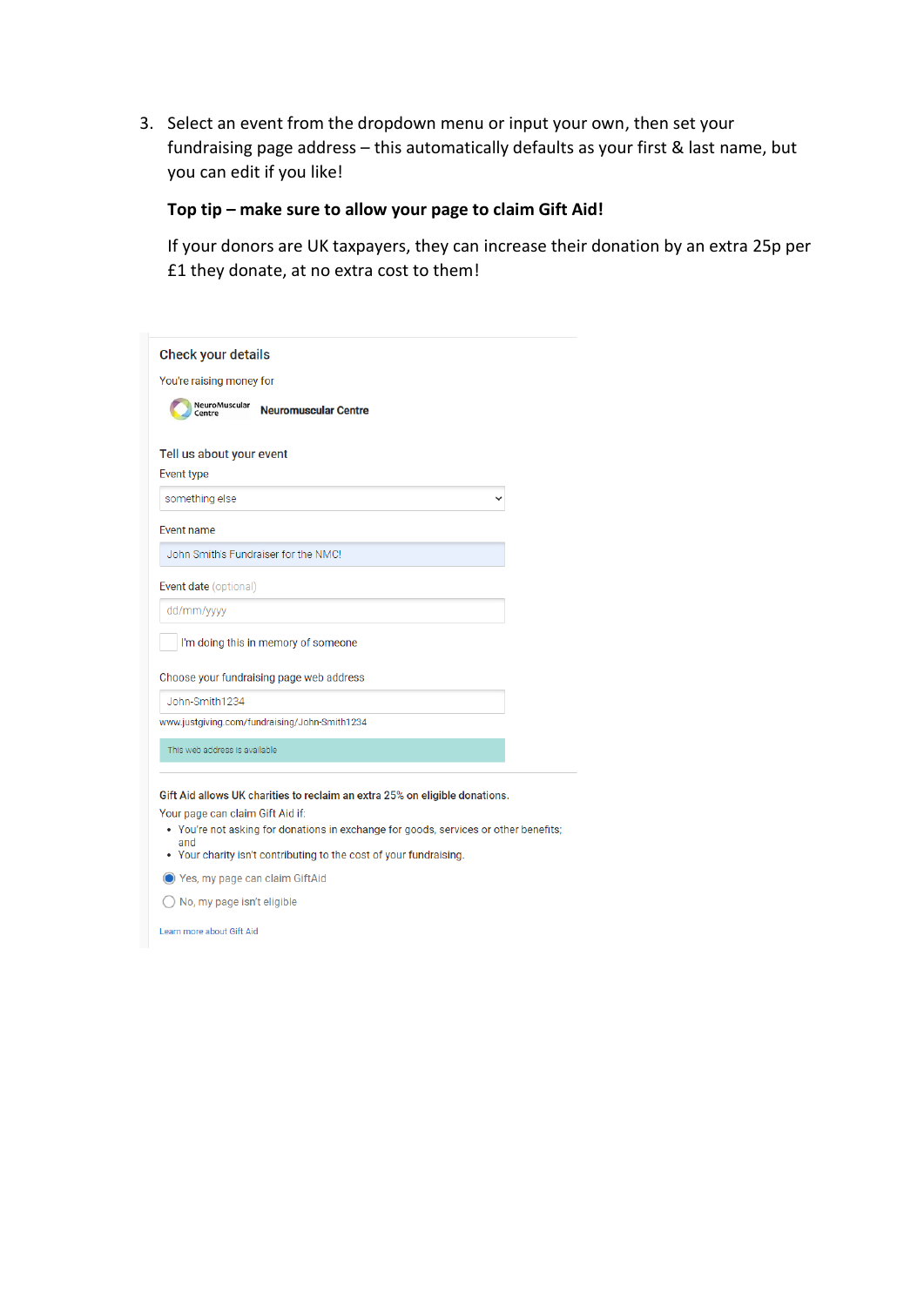3. Select an event from the dropdown menu or input your own, then set your fundraising page address – this automatically defaults as your first & last name, but you can edit if you like!

## **Top tip – make sure to allow your page to claim Gift Aid!**

If your donors are UK taxpayers, they can increase their donation by an extra 25p per £1 they donate, at no extra cost to them!

| You're raising money for                               |  |
|--------------------------------------------------------|--|
| NeuroMuscular<br><b>Neuromuscular Centre</b><br>Centre |  |
|                                                        |  |
| Tell us about your event<br>Event type                 |  |
|                                                        |  |
| something else                                         |  |
| <b>Event name</b>                                      |  |
| John Smith's Fundraiser for the NMC!                   |  |
| Event date (optional)                                  |  |
| dd/mm/yyyy                                             |  |
| I'm doing this in memory of someone                    |  |
| Choose your fundraising page web address               |  |
| John-Smith1234                                         |  |
| www.justgiving.com/fundraising/John-Smith1234          |  |
| This web address is available                          |  |
|                                                        |  |

- You're not asking for donations in exchange for goods, services or other benefits;
- and • Your charity isn't contributing to the cost of your fundraising.
- ◯ Yes, my page can claim GiftAid
- ◯ No, my page isn't eligible

Learn more about Gift Aid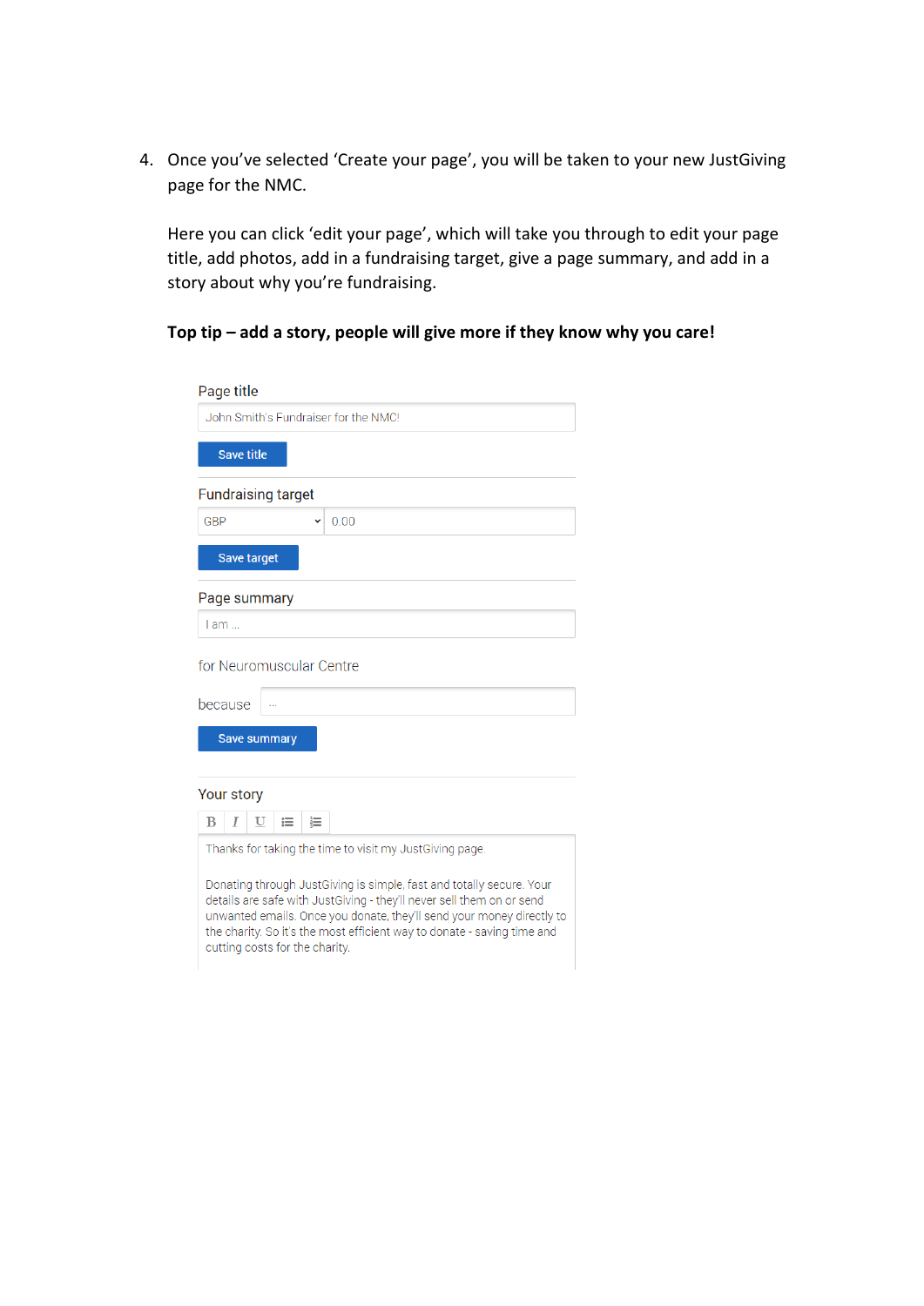4. Once you've selected 'Create your page', you will be taken to your new JustGiving page for the NMC.

Here you can click 'edit your page', which will take you through to edit your page title, add photos, add in a fundraising target, give a page summary, and add in a story about why you're fundraising.

#### **Top tip – add a story, people will give more if they know why you care!**

| Page title                                                                                                                                                                                                                                                                                                                          |  |  |  |  |
|-------------------------------------------------------------------------------------------------------------------------------------------------------------------------------------------------------------------------------------------------------------------------------------------------------------------------------------|--|--|--|--|
| John Smith's Fundraiser for the NMC!                                                                                                                                                                                                                                                                                                |  |  |  |  |
| <b>Save title</b>                                                                                                                                                                                                                                                                                                                   |  |  |  |  |
| <b>Fundraising target</b>                                                                                                                                                                                                                                                                                                           |  |  |  |  |
| GBP<br>0.00                                                                                                                                                                                                                                                                                                                         |  |  |  |  |
| Save target                                                                                                                                                                                                                                                                                                                         |  |  |  |  |
| Page summary                                                                                                                                                                                                                                                                                                                        |  |  |  |  |
| I am                                                                                                                                                                                                                                                                                                                                |  |  |  |  |
| for Neuromuscular Centre                                                                                                                                                                                                                                                                                                            |  |  |  |  |
| because                                                                                                                                                                                                                                                                                                                             |  |  |  |  |
| <b>Save summary</b>                                                                                                                                                                                                                                                                                                                 |  |  |  |  |
| Your story                                                                                                                                                                                                                                                                                                                          |  |  |  |  |
| B<br>U<br>$\equiv$<br>這<br>T                                                                                                                                                                                                                                                                                                        |  |  |  |  |
| Thanks for taking the time to visit my JustGiving page.                                                                                                                                                                                                                                                                             |  |  |  |  |
| Donating through JustGiving is simple, fast and totally secure. Your<br>details are safe with JustGiving - they'll never sell them on or send<br>unwanted emails. Once you donate, they'll send your money directly to<br>the charity. So it's the most efficient way to donate - saving time and<br>cutting costs for the charity. |  |  |  |  |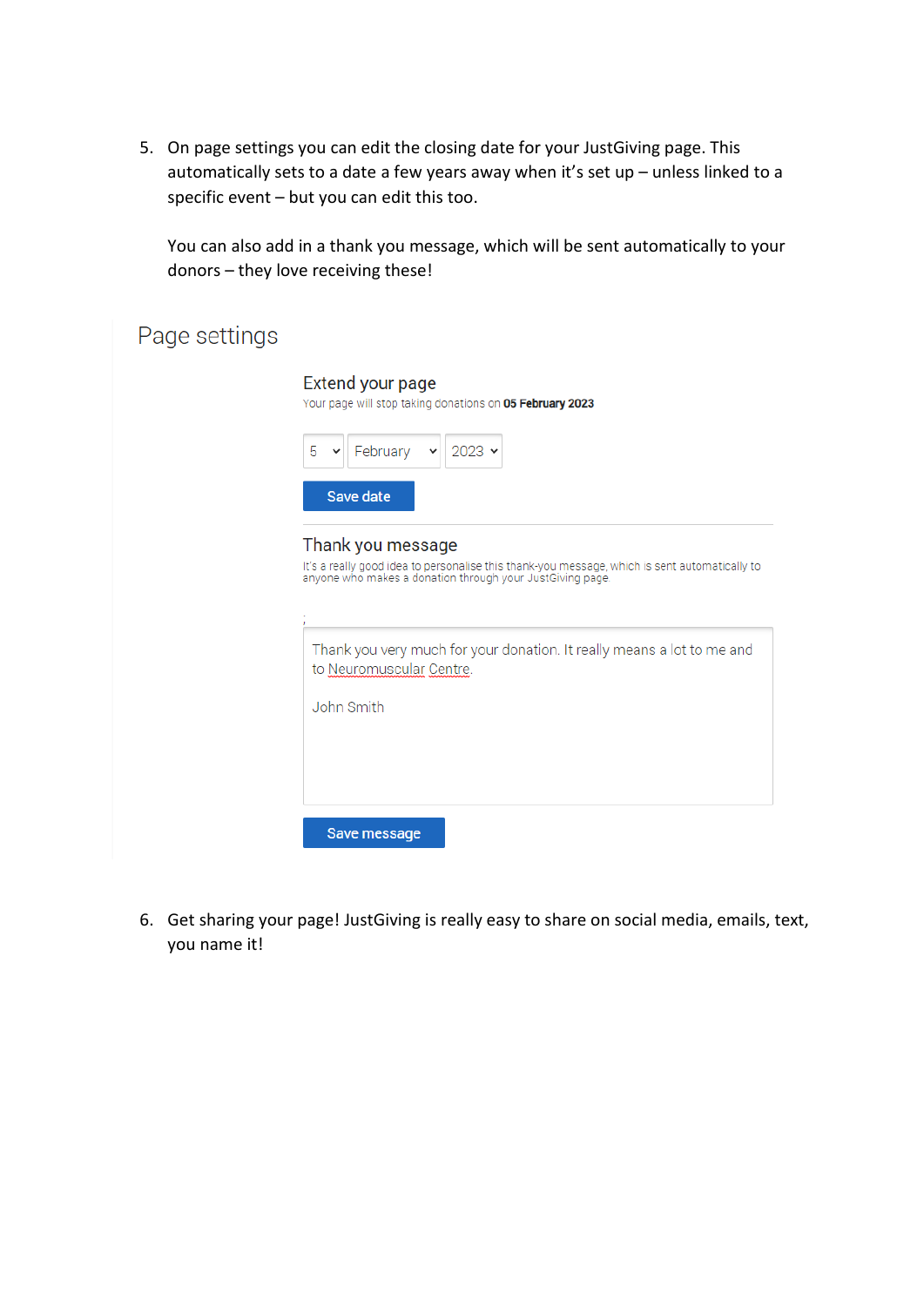5. On page settings you can edit the closing date for your JustGiving page. This automatically sets to a date a few years away when it's set up – unless linked to a specific event – but you can edit this too.

You can also add in a thank you message, which will be sent automatically to your donors – they love receiving these!

| Page settings |                                                                                                                                                                                 |  |  |
|---------------|---------------------------------------------------------------------------------------------------------------------------------------------------------------------------------|--|--|
|               | <b>Extend your page</b><br>Your page will stop taking donations on 05 February 2023                                                                                             |  |  |
|               | 5<br>February<br>$2023 \times$<br>v<br>v                                                                                                                                        |  |  |
|               | Save date                                                                                                                                                                       |  |  |
|               | Thank you message<br>It's a really good idea to personalise this thank-you message, which is sent automatically to<br>anyone who makes a donation through your JustGiving page. |  |  |
|               | Thank you very much for your donation. It really means a lot to me and<br>to Neuromuscular Centre.                                                                              |  |  |
|               | John Smith                                                                                                                                                                      |  |  |
|               |                                                                                                                                                                                 |  |  |
|               |                                                                                                                                                                                 |  |  |
|               | Save message                                                                                                                                                                    |  |  |

6. Get sharing your page! JustGiving is really easy to share on social media, emails, text, you name it!